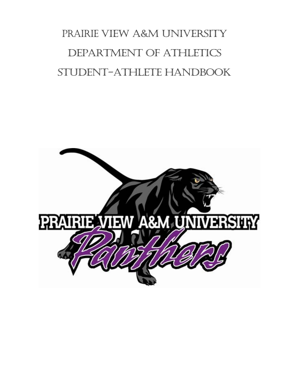# PRAIRIE VIEW A&M UNIVERSITY DEPARTMENT OF ATHLETICS STUDENT-ATHLETE HANDBOOK

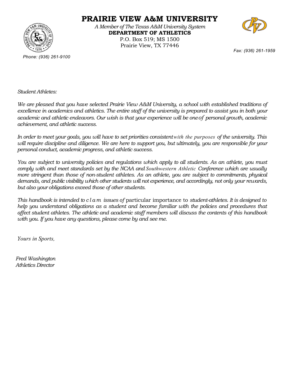

**PRAIRIE VIEW A&M UNIVERSITY** 

*A Member of The Texas A&M University System*  **DEPARTMENT OF ATHLETICS**  P.O. Box 519; MS 1500 Prairie View, TX 77446



*Fax: (936) 261-1959* 

*Phone: (936) 261-9100* 

*Student Athletes:* 

*We are pleased that you have selected Prairie View A&M University, a school with established traditions of excellence in academics and athletics. The entire staff of the university is prepared to assist you in both your academic and athletic endeavors. Our wish is that your experience will be one of personal growth, academic achievement, and athletic success.* 

*In order to meet your goals, you will have to set priorities consistent with the purposes of the university. This will require discipline and diligence. We are here to support you, but ultimately, you are responsible for your personal conduct, academic progress, and athletic success.* 

*You are subject to university policies and regulations which apply to all students. As an athlete, you must comply with and meet standards set by the NCAA and Southwestern Athletic Conference which are usually more stringent than those of non-student athletes. As an athlete, you are subject to commitments, physical demands, and public visibility which other students will not experience, and accordingly, not only your rewards, but also your obligations exceed those of other students.* 

*This handbook is intended to c l a m issues of* particular importance to *student-athletes. It is designed to help you understand obligations as a student and become familiar with the policies and procedures that affect student athletes. The athletic and academic staff members will discuss the contents of this handbook with you. If you have any questions, please come by and see me.* 

*Yours in Sports,* 

*Fred Washington Athletics Director*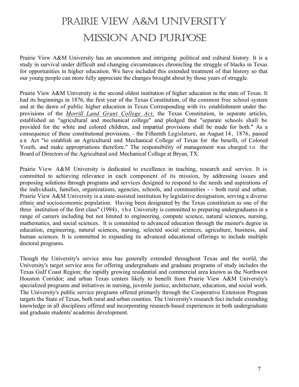# PRAIRIE VIEW A&M UNIVERSITY MISSION AND PURPOSE

Prairie View A&M University has an uncommon and intriguing .political and cultural history. It is a study in survival under difficult and changing circumstances chronicling the struggle of blacks in Texas for opportunities in higher education. We have included this extended treatment of that history so that our young people can more fully appreciate the changes brought about by those years of struggle.

Prairie View A&M University is the second oldest institution of higher education in the state of Texas. It had its beginnings in 1876, the first year of the Texas Constitution, of the common free school system and at the dawn of public higher education in Texas Corresponding with its establishment under theprovisions of the *Morrill Land Grant College Act,* the Texas Constitution, in separate articles, established an "agricultural and mechanical college" and pledged that "separate schools shall be provided for the white and colored children, and impartial provisions shall be made for both." As a consequence of these constitutional provisions, - the Fifteenth Legislature, an August l4, 1876, passed a n Act "to establish an Agricultural and Mechanical College of Texas for the benefit, of Colored Youth, and make appropriations therefore." The responsibility of management was charged to the Board of Directors of the Agricultural and Mechanical College at Bryan, TX.

Prairie View A&M University is dedicated to excellence in teaching, research and service. It is committed to achieving relevance in each component of its mission, by addressing issues and proposing solutions through programs and services designed to respond to the needs and aspirations of the individuals, families, organizations, agencies, schools, and communities - - both rural and urban. Prairie View A&M University is a state-assisted institution by legislative designation, serving a diverse ethnic and socioeconomic population. Having been designated by the Texas constitution as one of the three "institution of the first class" (1984), the University is committed to preparing undergraduates in a range of careers including but not limited to engineering, compute science, natural sciences, nursing, mathematics, and social sciences. It is committed to advanced education through the master's degree in education, engineering, natural sciences, nursing, selected social sciences, agriculture, business, and human sciences. It is committed to expanding its advanced educational offerings to include multiple doctoral programs.

Though the University's service area has generally extended throughout Texas and the world, the University's target service area for offering undergraduate and graduate programs of study includes the Texas Gulf Coast Region; the rapidly growing residential and commercial area known as the Northwest Houston Corridor; and urban Texas centers likely to benefit from Prairie View A&M University's specialized programs and initiatives in nursing, juvenile justice, architecture, education, and social work. The University's public service programs offered primarily through the Cooperative Extension Program targets the State of Texas, both rural and urban counties. The University's research foci include extending knowledge in all disciplines offered and incorporating research-based experiences in both undergraduate and graduate students' academic development.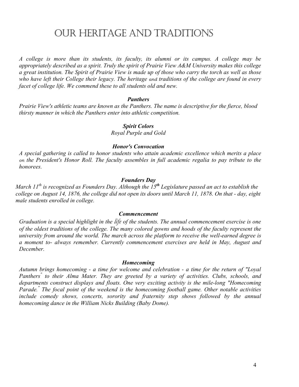## OUR HERITAGE AND TRADITIONS

*A college is more than its students, its faculty, its alumni or its campus. A college may be appropriately described as a spirit. Truly the spirit of Prairie View A&M University makes this college a great institution. The Spirit of Prairie View is made up of those who carry the torch as well as those who have left their College their legacy. The heritage and traditions of the college are found in every facet of college life. We commend these to all students old and new.* 

#### *Panthers*

*Prairie View's athletic teams are known as the Panthers. The name is descriptive for the fierce, blood thirsty manner in which the Panthers enter into athletic competition.* 

#### *Spirit Colors*

*Royal Purple and Gold* 

#### *Honor's Convocation*

*A special gathering is called to honor students who attain academic excellence which merits a place on the President's Honor Roll. The faculty assembles in full academic regalia to pay tribute to the honorees.* 

#### *Founders Day*

*March 11th is recognized as Founders Day. Although the 15th Legislature passed an act to establish the college on August 14, 1876, the college did not open its doors until March 11, 1878. On that - day, eight male students enrolled in college.* 

#### *Commencement*

*Graduation is a special highlight in the life of the students. The annual commencement exercise is one of the oldest traditions of the college. The many colored gowns and hoods of the faculty represent the university from around the world. The march across the platform to receive the well-earned degree is a moment to- always remember. Currently commencement exercises are held in May, August and December.* 

#### *Homecoming*

*Autumn brings homecoming - a time for welcome and celebration - a time for the return of "Loyal*  Panthers<sup>"</sup> to their Alma Mater. They are greeted by a variety of activities. Clubs, schools, and *departments construct displays and floats. One very exciting activity is the mile-long "Homecoming Parade." The focal point of the weekend is the homecoming football game. Other notable activities include comedy shows, concerts, sorority and fraternity step shows followed by the annual homecoming dance in the William Nicks Building (Baby Dome).*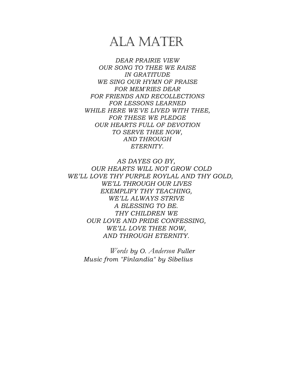# ALA MATER

*DEAR PRAIRIE VIEW OUR SONG TO THEE WE RAISE IN GRATITUDE WE SING OUR HYMN OF PRAISE FOR MEM'RIES DEAR FOR FRIENDS AND RECOLLECTIONS FOR LESSONS LEARNED WHILE HERE WE'VE LIVED WITH THEE, FOR THESE WE PLEDGE OUR HEARTS FULL OF DEVOTION TO SERVE THEE NOW, AND THROUGH ETERNITY.* 

*AS DAYES GO BY, OUR HEARTS WILL NOT GROW COLD WE'LL LOVE THY PURPLE ROYLAL AND THY GOLD, WE'LL THROUGH OUR LIVES EXEMPLIFY THY TEACHING, WE'LL ALWAYS STRIVE A BLESSING TO BE. THY CHILDREN WE OUR LOVE AND PRIDE CONFESSING, WE'LL LOVE THEE NOW, AND THROUGH ETERNITY.* 

*Words by O. Anderson Fuller Music from "Finlandia" by Sibelius*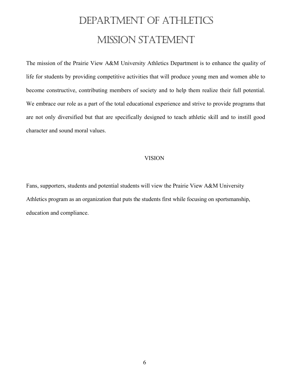# DEPARTMENT OF ATHLETICS MISSION STATEMENT

The mission of the Prairie View A&M University Athletics Department is to enhance the quality of life for students by providing competitive activities that will produce young men and women able to become constructive, contributing members of society and to help them realize their full potential. We embrace our role as a part of the total educational experience and strive to provide programs that are not only diversified but that are specifically designed to teach athletic skill and to instill good character and sound moral values.

#### VISION

Fans, supporters, students and potential students will view the Prairie View A&M University Athletics program as an organization that puts the students first while focusing on sportsmanship, education and compliance.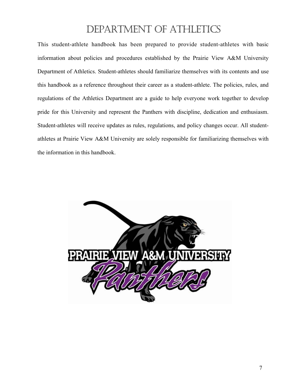## DEPARTMENT OF ATHLETICS

This student-athlete handbook has been prepared to provide student-athletes with basic information about policies and procedures established by the Prairie View A&M University Department of Athletics. Student-athletes should familiarize themselves with its contents and use this handbook as a reference throughout their career as a student-athlete. The policies, rules, and regulations of the Athletics Department are a guide to help everyone work together to develop pride for this University and represent the Panthers with discipline, dedication and enthusiasm. Student-athletes will receive updates as rules, regulations, and policy changes occur. All studentathletes at Prairie View A&M University are solely responsible for familiarizing themselves with the information in this handbook.

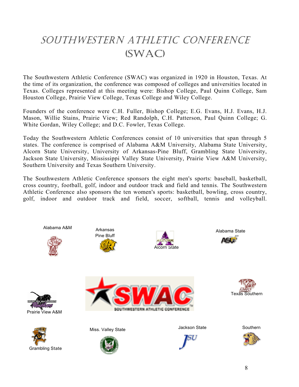# SOUTHWESTERN ATHLETIC CONFERENCE (SWAC)

The Southwestern Athletic Conference (SWAC) was organized in 1920 in Houston, Texas. At the time of its organization, the conference was composed of colleges and universities located in Texas. Colleges represented at this meeting were: Bishop College, Paul Quinn College, Sam Houston College, Prairie View College, Texas College and Wiley College.

Founders of the conference were C.H. Fuller, Bishop College; E.G. Evans, H.J. Evans, H.J. Mason, Willie Stains, Prairie View; Red Randolph, C.H. Patterson, Paul Quinn College; G. White Gordan, Wiley College; and D.C. Fowler, Texas College.

Today the Southwestern Athletic Conferences consist of 10 universities that span through 5 states. The conference is comprised of Alabama A&M University, Alabama State University, Alcorn State University, University of Arkansas-Pine Bluff, Grambling State University, Jackson State University, Mississippi Valley State University, Prairie View A&M University, Southern University and Texas Southern University.

The Southwestern Athletic Conference sponsors the eight men's sports: baseball, basketball, cross country, football, golf, indoor and outdoor track and field and tennis. The Southwestern Athletic Conference also sponsors the ten women's sports: basketball, bowling, cross country, golf, indoor and outdoor track and field, soccer, softball, tennis and volleyball.

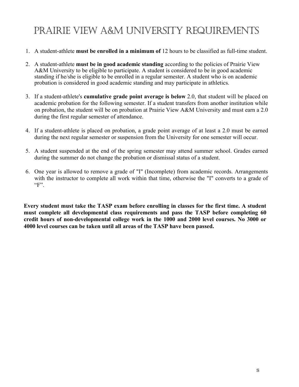# PRAIRIE VIEW A&M UNIVERSITY REQUIREMENTS

- 1. A student-athlete **must be enrolled in a minimum of** 12 hours to be classified as full-time student.
- 2. A student-athlete **must be in good academic standing** according to the policies of Prairie View A&M University to be eligible to participate. A student is considered to be in good academic standing if he/she is eligible to be enrolled in a regular semester. A student who is on academic probation is considered in good academic standing and may participate in athletics.
- 3. If a student-athlete's **cumulative grade point average is below** 2.0, that student will be placed on academic probation for the following semester. If a student transfers from another institution while on probation, the student will be on probation at Prairie View A&M University and must earn a 2.0 during the first regular semester of attendance.
- 4. If a student-athlete is placed on probation, a grade point average of at least a 2.0 must be earned during the next regular semester or suspension from the University for one semester will occur.
- 5. A student suspended at the end of the spring semester may attend summer school. Grades earned during the summer do not change the probation or dismissal status of a student.
- 6. One year is allowed to remove a grade of "I" (Incomplete) from academic records. Arrangements with the instructor to complete all work within that time, otherwise the "I" converts to a grade of  $"F"$ .

**Every student must take the TASP exam before enrolling in classes for the first time. A student must complete all developmental class requirements and pass the TASP before completing 60 credit hours of non-developmental college work in the 1000 and 2000 level courses. No 3000 or 4000 level courses can be taken until all areas of the TASP have been passed.**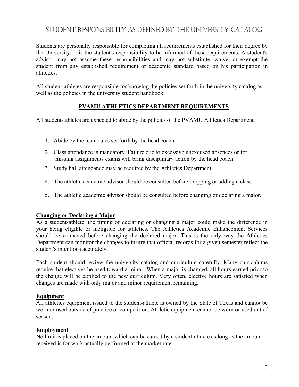## STUDENT RESPONSIBILITY AS DEFINED BY THE UNIVERSITY CATALOG

Students are personally responsible for completing all requirements established for their degree by the University. It is the student's responsibility to be informed of these requirements. A student's advisor may not assume these responsibilities and may not substitute, waive, or exempt the student from any established requirement or academic standard based on his participation in athletics.

All student-athletes are responsible for knowing the policies set forth in the university catalog as well as the policies in the university student handbook.

#### **PVAMU ATHLETICS DEPARTMENT REQUIREMENTS**

All student-athletes are expected to abide by the policies of the PVAMU Athletics Department.

- 1. Abide by the team rules set forth by the head coach.
- 2. Class attendance is mandatory. Failure due to excessive unexcused absences or for missing assignments exams will bring disciplinary action by the head coach.
- 3. Study hall attendance may be required by the Athletics Department.
- 4. The athletic academic advisor should be consulted before dropping or adding a class.
- 5. The athletic academic advisor should be consulted before changing or declaring a major.

#### **Changing or Declaring a Major**

As a student-athlete, the timing of declaring or changing a major could make the difference in your being eligible or ineligible for athletics. The Athletics Academic Enhancement Services should be contacted before changing the declared major. This is the only way the Athletics Department can monitor the changes to insure that official records for a given semester reflect the student's intentions accurately.

Each student should review the university catalog and curriculum carefully. Many curriculums require that electives be used toward a minor. When a major is changed, all hours earned prior to the change will be applied to the new curriculum. Very often, elective hours are satisfied when changes are made with only major and minor requirement remaining.

#### **Equipment**

All athletics equipment issued to the student-athlete is owned by the State of Texas and cannot be worn or used outside of practice or competition. Athletic equipment cannot be worn or used out of season.

#### **Employment**

No limit is placed on the amount which can be earned by a student-athlete as long as the amount received is for work actually performed at the market rate.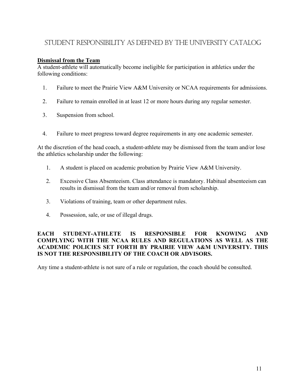## STUDENT RESPONSIBILITY AS DEFINED BY THE UNIVERSITY CATALOG

#### **Dismissal from the Team**

A student-athlete will automatically become ineligible for participation in athletics under the following conditions:

- 1. Failure to meet the Prairie View A&M University or NCAA requirements for admissions.
- 2. Failure to remain enrolled in at least 12 or more hours during any regular semester.
- 3. Suspension from school.
- 4. Failure to meet progress toward degree requirements in any one academic semester.

At the discretion of the head coach, a student-athlete may be dismissed from the team and/or lose the athletics scholarship under the following:

- 1. A student is placed on academic probation by Prairie View A&M University.
- 2. Excessive Class Absenteeism. Class attendance is mandatory. Habitual absenteeism can results in dismissal from the team and/or removal from scholarship.
- 3. Violations of training, team or other department rules.
- 4. Possession, sale, or use of illegal drugs.

#### **EACH STUDENT-ATHLETE IS RESPONSIBLE FOR KNOWING AND COMPLYING WITH THE NCAA RULES AND REGULATIONS AS WELL AS THE ACADEMIC POLICIES SET FORTH BY PRAIRIE VIEW A&M UNIVERSITY. THIS IS NOT THE RESPONSIBILITY OF THE COACH OR ADVISORS.**

Any time a student-athlete is not sure of a rule or regulation, the coach should be consulted.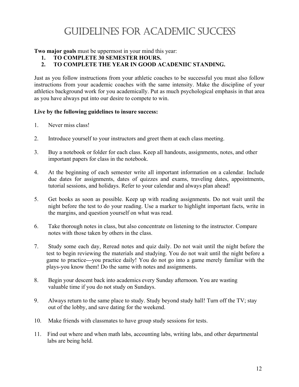# GUIDELINES FOR ACADEMIC SUCCESS

**Two major goals** must be uppermost in your mind this year:

- **1. TO COMPLETE 30 SEMESTER HOURS.**
- **2. TO COMPLETE THE YEAR IN GOOD ACADENIIC STANDING.**

Just as you follow instructions from your athletic coaches to be successful you must also follow instructions from your academic coaches with the same intensity. Make the discipline of your athletics background work for you academically. Put as much psychological emphasis in that area as you have always put into our desire to compete to win.

#### **Live by the following guidelines to insure success:**

- 1. Never miss class!
- 2. Introduce yourself to your instructors and greet them at each class meeting.
- 3. Buy a notebook or folder for each class. Keep all handouts, assignments, notes, and other important papers for class in the notebook.
- 4. At the beginning of each semester write all important information on a calendar. Include due dates for assignments, dates of quizzes and exams, traveling dates, appointments, tutorial sessions, and holidays. Refer to your calendar and always plan ahead!
- 5. Get books as soon as possible. Keep up with reading assignments. Do not wait until the night before the test to do your reading. Use a marker to highlight important facts, write in the margins, and question yourself on what was read.
- 6. Take thorough notes in class, but also concentrate on listening to the instructor. Compare notes with those taken by others in the class.
- 7. Study some each day, Reread notes and quiz daily. Do not wait until the night before the test to begin reviewing the materials and studying. You do not wait until the night before a game to practice---you practice daily! You do not go into a game merely familiar with the plays-you know them! Do the same with notes and assignments.
- 8. Begin your descent back into academics every Sunday afternoon. You are wasting valuable time if you do not study on Sundays.
- 9. Always return to the same place to study. Study beyond study hall! Turn off the TV; stay out of the lobby, and save dating for the weekend.
- 10. Make friends with classmates to have group study sessions for tests.
- 11. Find out where and when math labs, accounting labs, writing labs, and other departmental labs are being held.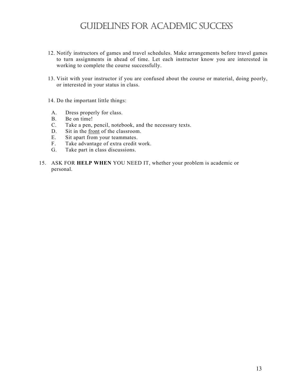## GUIDELINES FOR ACADEMIC SUCCESS

- 12. Notify instructors of games and travel schedules. Make arrangements before travel games to turn assignments in ahead of time. Let each instructor know you are interested in working to complete the course successfully.
- 13. Visit with your instructor if you are confused about the course or material, doing poorly, or interested in your status in class.
- 14. Do the important little things:
	- A. Dress properly for class.
	- B. Be on time!
- C. Take a pen, pencil, notebook, and the necessary texts.<br>D. Sit in the front of the classroom.
- Sit in the front of the classroom.
- E. Sit apart from your teammates.
- F. Take advantage of extra credit work.
- G. Take part in class discussions.
- 15. ASK FOR **HELP WHEN** YOU NEED IT, whether your problem is academic or personal.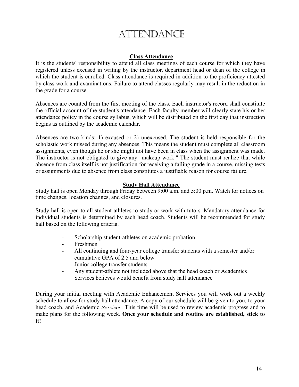# ATTENDANCE

#### **Class Attendance**

It is the students' responsibility to attend all class meetings of each course for which they have registered unless excused in writing by the instructor, department head or dean of the college in which the student is enrolled. Class attendance is required in addition to the proficiency attested by class work and examinations. Failure to attend classes regularly may result in the reduction in the grade for a course.

Absences are counted from the first meeting of the class. Each instructor's record shall constitute the official account of the student's attendance. Each faculty member will clearly state his or her attendance policy in the course syllabus, which will be distributed on the first day that instruction begins as outlined by the academic calendar.

Absences are two kinds: 1) excused or 2) unexcused. The student is held responsible for the scholastic work missed during any absences. This means the student must complete all classroom assignments, even though he or she might not have been in class when the assignment was made. The instructor is not obligated to give any "makeup work." The student must realize that while absence from class itself is not justification for receiving a failing grade in a course, missing tests or assignments due to absence from class constitutes a justifiable reason for course failure.

#### **Study Hall Attendance**

Study hall is open Monday through Friday between 9:00 a.m. and 5:00 p.m. Watch for notices on time changes, location changes, and closures.

Study hall is open to all student-athletes to study or work with tutors. Mandatory attendance for individual students is determined by each head coach. Students will be recommended for study hall based on the following criteria.

- Scholarship student-athletes on academic probation
- Freshmen
- All continuing and four-year college transfer students with a semester and/or cumulative GPA of 2.5 and below
- Junior college transfer students
- Any student-athlete not included above that the head coach or Academics Services believes would benefit from study hall attendance

During your initial meeting with Academic Enhancement Services you will work out a weekly schedule to allow for study hall attendance. A copy of our schedule will be given to you, to your head coach, and Academic *Services.* This time will be used to review academic progress and to make plans for the following week. **Once your schedule and routine are established, stick to it!**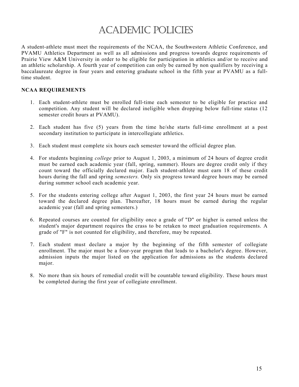# ACADEMIC POLICIES

A student-athlete must meet the requirements of the NCAA, the Southwestern Athletic Conference, and PVAMU Athletics Department as well as all admissions and progress towards degree requirements of Prairie View A&M University in order to be eligible for participation in athletics and/or to receive and an athletic scholarship. A fourth year of competition can only be earned by non qualifiers by receiving a baccalaureate degree in four years and entering graduate school in the fifth year at PVAMU as a fulltime student.

#### **NCAA REQUIREMENTS**

- 1. Each student-athlete must be enrolled full-time each semester to be eligible for practice and competition. Any student will be declared ineligible when dropping below full-time status (12 semester credit hours at PVAMU).
- 2. Each student has five (5) years from the time he/she starts full-time enrollment at a post secondary institution to participate in intercollegiate athletics.
- 3. Each student must complete six hours each semester toward the official degree plan.
- 4. For students beginning *college* prior to August 1, 2003, a minimum of 24 hours of degree credit must be earned each academic year (fall, spring, summer). Hours are degree credit only if they count toward the officially declared major. Each student-athlete must earn 18 of these credit hours during the fall and spring *semesters.* Only six progress toward degree hours may be earned during summer school each academic year.
- 5. For the students entering college after August 1, 2003, the first year 24 hours must be earned toward the declared degree plan. Thereafter, 18 hours must be earned during the regular academic year (fall and spring semesters.)
- 6. Repeated courses are counted for eligibility once a grade of "D" or higher is earned unless the student's major department requires the crass to be retaken to meet graduation requirements. A grade of "F" is not counted for eligibility, and therefore, may be repeated.
- 7. Each student must declare a major by the beginning of the fifth semester of collegiate enrollment. The major must be a four-year program that leads to a bachelor's degree. However, admission inputs the major listed on the application for admissions as the students declared major.
- 8. No more than six hours of remedial credit will be countable toward eligibility. These hours must be completed during the first year of collegiate enrollment.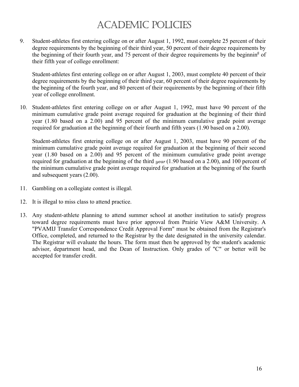# ACADEMIC POLICIES

9. Student-athletes first entering college on or after August 1, 1992, must complete 25 percent of their degree requirements by the beginning of their third year, 50 percent of their degree requirements by the beginning of their fourth year, and 75 percent of their degree requirements by the beginnin<sup>g</sup> of their fifth year of college enrollment:

Student-athletes first entering college on or after August 1, 2003, must complete 40 percent of their degree requirements by the beginning of their third year, 60 percent of their degree requirements by the beginning of the fourth year, and 80 percent of their requirements by the beginning of their fifth year of college enrollment.

10. Student-athletes first entering college on or after August 1, 1992, must have 90 percent of the minimum cumulative grade point average required for graduation at the beginning of their third year (1.80 based on a 2.00) and 95 percent of the minimum cumulative grade point average required for graduation at the beginning of their fourth and fifth years (1.90 based on a 2.00).

Student-athletes first entering college on or after August 1, 2003, must have 90 percent of the minimum cumulative grade point average required for graduation at the beginning of their second year (1.80 based on a 2.00) and 95 percent of the minimum cumulative grade point average required for graduation at the beginning of the third *year* (1.90 based on a 2.00), and 100 percent of the minimum cumulative grade point average required for graduation at the beginning of the fourth and subsequent years (2.00).

- 11. Gambling on a collegiate contest is illegal.
- 12. It is illegal to miss class to attend practice.
- 13. Any student-athlete planning to attend summer school at another institution to satisfy progress toward degree requirements must have prior approval from Prairie View A&M University. A "PVAMIJ Transfer Correspondence Credit Approval Form" must be obtained from the Registrar's Office, completed, and returned to the Registrar by the date designated in the university calendar. The Registrar will evaluate the hours. The form must then be approved by the student's academic advisor, department head, and the Dean of Instruction. Only grades of "C" or better will be accepted for transfer credit.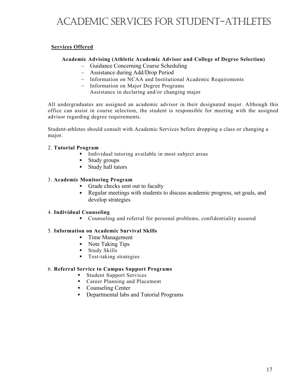# ACADEMIC SERVICES FOR STUDENT-ATHLETES

#### **Services Offered**

#### **Academic Advising (Athletic Academic Advisor and College of Degree Selection)**

- Guidance Concerning Course Scheduling
- Assistance during Add/Drop Period
- Information on NCAA and Institutional Academic Requirements
- Information on Major Degree Programs
	- Assistance in declaring and/or changing major

All undergraduates are assigned an academic advisor in their designated major. Although this office can assist in course selection, the student is responsible for meeting with the assigned advisor regarding degree requirements.

Student-athletes should consult with Academic Services before dropping a class or changing a major.

#### 2. **Tutorial Program**

- ! Individual tutoring available in most subject areas
- Study groups
- ! Study hall tutors

#### 3. **Academic Monitoring Program**

- ! Grade checks sent out to faculty
- ! Regular meetings with students to discuss academic progress, set goals, and develop strategies

#### 4. **Individual Counseling**

! Counseling and referral for personal problems, confidentiality assured

#### 5. **Information on Academic Survival Skills**

- **Time Management**
- Note Taking Tips
- **Example 1** Study Skills
- **Test-taking strategies**

#### 6. **Referral Service to Campus Support Programs**

- ! Student Support Services
- **Exercise Exercise 2** Career Planning and Placement
- Counseling Center
- ! Departmental labs and Tutorial Programs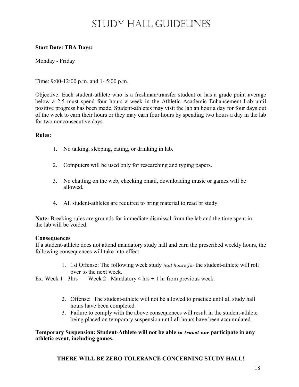# STUDY HALL GUIDELINES

#### **Start Date: TBA Days:**

Monday - Friday

Time: 9:00-12:00 p.m. and 1- 5:00 p.m.

Objective: Each student-athlete who is a freshman/transfer student or has a grade point average below a 2.5 must spend four hours a week in the Athletic Academic Enhancement Lab until positive progress has been made. Student-athletes may visit the lab an hour a day for four days out of the week to earn their hours or they may earn four hours by spending two hours a day in the lab for two nonconsecutive days.

#### **Rules:**

- 1. No talking, sleeping, eating, or drinking in lab.
- 2. Computers will be used only for researching and typing papers.
- 3. No chatting on the web, checking email, downloading music or games will be allowed.
- 4. All student-athletes are required to bring material to read br study.

**Note:** Breaking rules are grounds for immediate dismissal from the lab and the time spent in the lab will be voided.

#### **Consequences**

If a student-athlete does not attend mandatory study hall and earn the prescribed weekly hours, the following consequences will take into effect:

> 1. 1st Offense: The following week study *hall hours for* the student-athlete will roll over to the next week.

Ex: Week  $1 = 3$ hrs Week  $2 =$  Mandatory 4 hrs + 1 hr from previous week.

- 2. Offense: The student-athlete will not be allowed to practice until all study hall hours have been completed.
- 3. Failure to comply with the above consequences will result in the student-athlete being placed on temporary suspension until all hours have been accumulated.

**Temporary Suspension: Student-Athlete will not be able** *to travel nor* **participate in any athletic event, including games.** 

#### **THERE WILL BE ZERO TOLERANCE CONCERNING STUDY HALL!**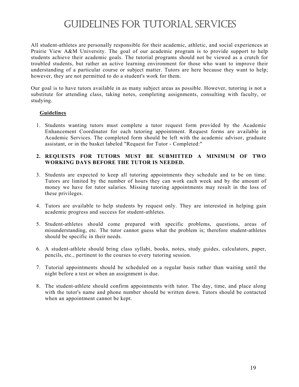# GUIDELINES FOR TUTORIAL SERVICES

All student-athletes are personally responsible for their academic, athletic, and social experiences at Prairie View A&M University. The goal of our academic program is to provide support to help students achieve their academic goals. The tutorial programs should not be viewed as a crutch for troubled students, but rather an active learning environment for those who want to improve their understanding of a particular course or subject matter. Tutors are here because they want to help; however, they are not permitted to do a student's work for them.

Our goal is to have tutors available in as many subject areas as possible. However, tutoring is not a substitute for attending class, taking notes, completing assignments, consulting with faculty, or studying.

#### **Guidelines**

1. Students wanting tutors must complete a tutor request form provided by the Academic Enhancement Coordinator for each tutoring appointment. Request forms are available in Academic Services. The completed form should be left with the academic advisor, graduate assistant, or in the basket labeled "Request for Tutor - Completed:"

#### **2. REQUESTS FOR TUTORS MUST BE SUBMITTED A MINIMUM OF TWO WORKING DAYS BEFORE THE TUTOR IS NEEDED.**

- 3. Students are expected to keep all tutoring appointments they schedule and to be on time. Tutors are limited by the number of hours they can work each week and by the amount of money we have for tutor salaries. Missing tutoring appointments may result in the loss of these privileges.
- 4. Tutors are available to help students by request only. They are interested in helping gain academic progress and success for student-athletes.
- 5. Student-athletes should come prepared with specific problems, questions, areas of misunderstanding, etc. The tutor cannot guess what the problem is; therefore student-athletes should be specific in their needs.
- 6. A student-athlete should bring class syllabi, books, notes, study guides, calculators, paper, pencils, etc., pertinent to the courses to every tutoring session.
- 7. Tutorial appointments should be scheduled on a regular basis rather than waiting until the night before a test or when an assignment is due.
- 8. The student-athlete should confirm appointments with tutor. The day, time, and place along with the tutor's name and phone number should be written down. Tutors should be contacted when an appointment cannot be kept.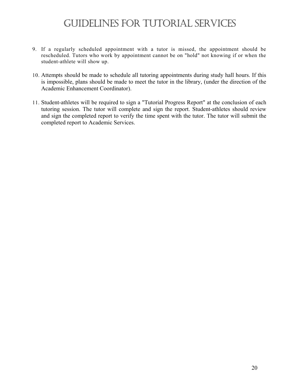# GUIDELINES FOR TUTORIAL SERVICES

- 9. If a regularly scheduled appointment with a tutor is missed, the appointment should be rescheduled. Tutors who work by appointment cannot be on "hold" not knowing if or when the student-athlete will show up.
- 10. Attempts should be made to schedule all tutoring appointments during study hall hours. If this is impossible, plans should be made to meet the tutor in the library, (under the direction of the Academic Enhancement Coordinator).
- 11. Student-athletes will be required to sign a "Tutorial Progress Report" at the conclusion of each tutoring session. The tutor will complete and sign the report. Student-athletes should review and sign the completed report to verify the time spent with the tutor. The tutor will submit the completed report to Academic Services.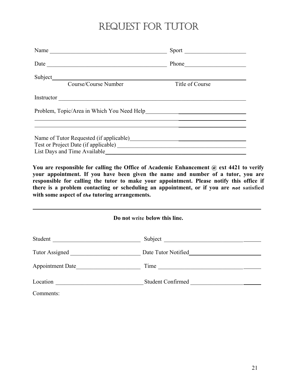# REQUEST FOR TUTOR

|                                                                                                                                                                                                                                                                                                         | Phone           |  |  |
|---------------------------------------------------------------------------------------------------------------------------------------------------------------------------------------------------------------------------------------------------------------------------------------------------------|-----------------|--|--|
|                                                                                                                                                                                                                                                                                                         |                 |  |  |
| Course/Course Number                                                                                                                                                                                                                                                                                    | Title of Course |  |  |
|                                                                                                                                                                                                                                                                                                         |                 |  |  |
|                                                                                                                                                                                                                                                                                                         |                 |  |  |
| <u> 2008 - Andrea Andrew Amerikaanse kommunister († 2008)</u><br>Name of Tutor Requested (if applicable)<br><u>Letter and the contract of the set of the set of the set of the set of the set of the set of the set of the set of the set of the set of the set of the set of the set of the set of</u> |                 |  |  |
|                                                                                                                                                                                                                                                                                                         |                 |  |  |
| You are responsible for calling the Office of Academic Enhancement @ ext 4421 to                                                                                                                                                                                                                        |                 |  |  |

**You are responsible for calling the Office of Academic Enhancement @ ext 4421 to verify your appointment. If you have been given the name and number of a tutor, you are responsible for calling the tutor to make your appointment. Please notify this office if there is a problem contacting or scheduling an appointment, or if you are** *not* **satisfied with some aspect of** *the* **tutoring arrangements.** 

| Do not write below this line. |                                                                                                                                                |  |
|-------------------------------|------------------------------------------------------------------------------------------------------------------------------------------------|--|
| Student                       |                                                                                                                                                |  |
|                               | Date Tutor Notified<br><u>Letter</u> and the United States of the United States of the United States of the United States of the United States |  |
| Appointment Date              |                                                                                                                                                |  |
|                               | Student Confirmed                                                                                                                              |  |
| Comments:                     |                                                                                                                                                |  |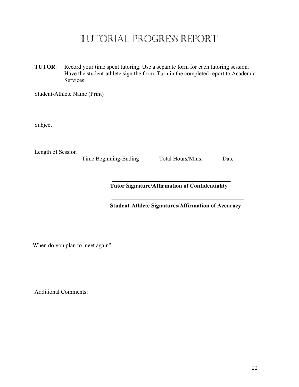# TUTORIAL PROGRESS REPORT

**TUTOR**: Record your time spent tutoring. Use a separate form for each tutoring session. Have the student-athlete sign the form. Turn in the completed report to Academic Services.

Student-Athlete Name (Print) \_\_\_\_\_\_\_\_\_\_\_\_\_\_\_\_\_\_\_\_\_\_\_\_\_\_\_\_\_\_\_\_\_\_\_\_\_\_\_\_\_\_\_\_\_\_\_

Subject \_\_\_\_\_\_\_\_\_\_\_\_\_\_\_\_\_\_\_\_\_\_\_\_\_\_\_\_\_\_\_\_\_\_\_\_\_\_\_\_\_\_\_\_\_\_\_\_\_\_\_\_\_\_\_\_\_\_\_\_\_\_\_\_\_

Length of Session Length of Session

Time Beginning-Ending Total Hours/Mins. Date

**Tutor Signature/Affirmation of Confidentiality** 

**Student-Athlete Signatures/Affirmation of Accuracy** 

When do you plan to meet again?

Additional Comments: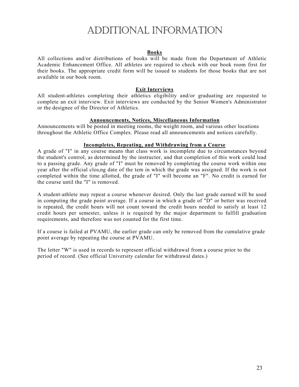# ADDITIONAL INFORMATION

#### **Books**

All collections and/or distributions of books will be made from the Department of Athletic Academic Enhancement Office. All athletes are required to check with our book room first for their books. The appropriate credit form will be issued to students for those books that are not available in our book room.

#### **Exit Interviews**

All student-athletes completing their athletics eligibility and/or graduating are requested to complete an exit interview. Exit interviews are conducted by the Senior Women's Administrator or the designee of the Director of Athletics.

#### **Announcements, Notices, Miscellaneous Information**

Announcements will be posted in meeting rooms, the weight room, and various other locations throughout the Athletic Office Complex. Please read all announcements and notices carefully.

#### **Incompletes, Repeating, and Withdrawing from a Course**

A grade of "I" in any course means that class work is incomplete due to circumstances beyond the student's control, as determined by the instructor, and that completion of this work could lead to a passing grade. Any grade of "I" must be removed by completing the course work within one year after the official closing date of the tem in which the grade was assigned. If the work is not completed within the time allotted, the grade of "I" will become an "F". No credit is earned for the course until the "I" is removed.

A student-athlete may repeat a course whenever desired. Only the last grade earned will be used in computing the grade point average. If a course in which a grade of "D" or better was received is repeated, the credit hours will not count toward the credit hours needed to satisfy at least 12 credit hours per semester, unless it is required by the major department to fulfill graduation requirements, and therefore was not counted for the first time.

If a course is failed at PVAMU, the earlier grade can only be removed from the cumulative grade point average by repeating the course at PVAMU.

The letter "W" is used in records to represent official withdrawal from a course prior to the period of record. (See official University calendar for withdrawal dates.)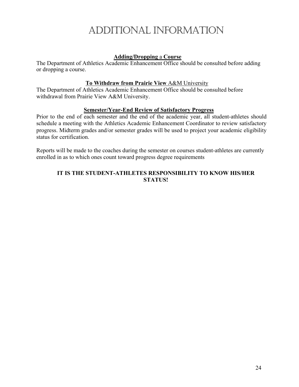# ADDITIONAL INFORMATION

#### **Adding/Dropping** a **Course**

The Department of Athletics Academic Enhancement Office should be consulted before adding or dropping a course.

#### **To Withdraw from Prairie View** A&M University

The Department of Athletics Academic Enhancement Office should be consulted before withdrawal from Prairie View A&M University.

#### **Semester/Year-End Review of Satisfactory Progress**

Prior to the end of each semester and the end of the academic year, all student-athletes should schedule a meeting with the Athletics Academic Enhancement Coordinator to review satisfactory progress. Midterm grades and/or semester grades will be used to project your academic eligibility status for certification.

Reports will be made to the coaches during the semester on courses student-athletes are currently enrolled in as to which ones count toward progress degree requirements

#### **IT IS THE STUDENT-ATHLETES RESPONSIBILITY TO KNOW HIS/HER STATUS!**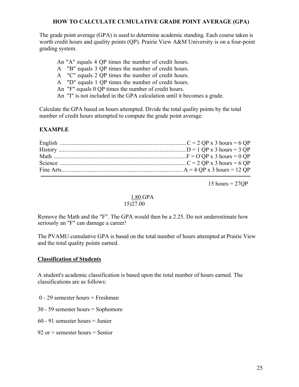#### **HOW TO CALCULATE CUMULATIVE GRADE POINT AVERAGE (GPA)**

The grade point average (GPA) is used to determine academic standing. Each course taken is worth credit hours and quality points (QP). Prairie View A&M University is on a four-point grading system.

- An "A" equals 4 QP times the number of credit hours.
- A "B" equals 3 QP times the number of credit hours.
- A "C" equals 2 QP times the number of credit hours.
- A "D" equals 1 QP times the number of credit hours.
- An "F" equals 0 QP times the number of credit hours.
- An "I" is not included in the GPA calculation until it becomes a grade.

Calculate the GPA based on hours attempted. Divide the total quality points by the total number of credit hours attempted to compute the grade point average.

#### **EXAMPLE**

| Science $\ldots$ $C = 2$ QP x 3 hours = 6 QP |  |
|----------------------------------------------|--|
|                                              |  |

 $15$  hours =  $27OP$ 

#### 1.80 GPA

#### 15)27.00

Remove the Math and the "F". The GPA would then be a 2.25. Do not underestimate how seriously an "F" can damage a career!

The PVAMU cumulative GPA is based on the total number of hours attempted at Prairie View and the total quality points earned.

#### **Classification of Students**

A student's academic classification is based upon the total number of hours earned. The classifications are as follows:

- 0 29 semester hours = Freshman
- 30 59 semester hours = Sophomore
- 60 91 semester hours = Junior
- $92$  or  $>$  semester hours  $=$  Senior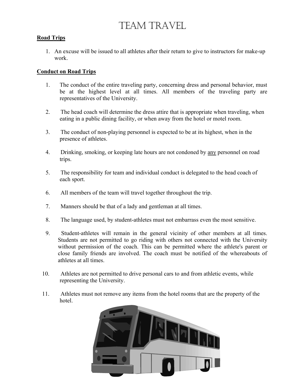# TEAM TRAVEL

#### **Road Trips**

1. An excuse will be issued to all athletes after their return to give to instructors for make-up work.

#### **Conduct on Road Trips**

- 1. The conduct of the entire traveling party, concerning dress and personal behavior, must be at the highest level at all times. All members of the traveling party are representatives of the University.
- 2. The head coach will determine the dress attire that is appropriate when traveling, when eating in a public dining facility, or when away from the hotel or motel room.
- 3. The conduct of non-playing personnel is expected to be at its highest, when in the presence of athletes.
- 4. Drinking, smoking, or keeping late hours are not condoned by any personnel on road trips.
- 5. The responsibility for team and individual conduct is delegated to the head coach of each sport.
- 6. All members of the team will travel together throughout the trip.
- 7. Manners should be that of a lady and gentleman at all times.
- 8. The language used, by student-athletes must not embarrass even the most sensitive.
- 9. Student-athletes will remain in the general vicinity of other members at all times. Students are not permitted to go riding with others not connected with the University without permission of the coach. This can be permitted where the athlete's parent or close family friends are involved. The coach must be notified of the whereabouts of athletes at all times.
- 10. Athletes are not permitted to drive personal cars to and from athletic events, while representing the University.
- 11. Athletes must not remove any items from the hotel rooms that are the property of the hotel.

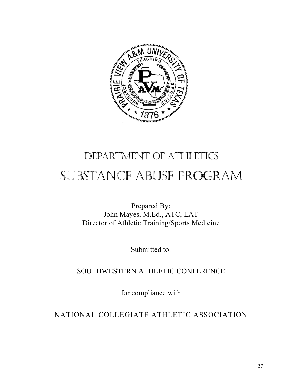

# DEPARTMENT OF ATHLETICS SUBSTANCE ABUSE PROGRAM

Prepared By: John Mayes, M.Ed., ATC, LAT Director of Athletic Training/Sports Medicine

Submitted to:

SOUTHWESTERN ATHLETIC CONFERENCE

for compliance with

NATIONAL COLLEGIATE ATHLETIC ASSOCIATION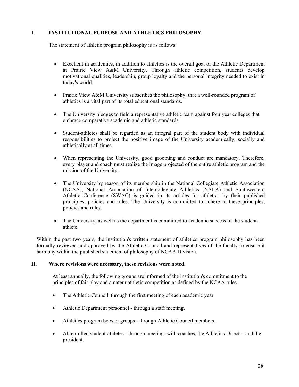#### **I. INSTITUTIONAL PURPOSE AND ATHLETICS PHILOSOPHY**

The statement of athletic program philosophy is as follows:

- Excellent in academics, in addition to athletics is the overall goal of the Athletic Department at Prairie View A&M University. Through athletic competition, students develop motivational qualities, leadership, group loyalty and the personal integrity needed to exist in today's world.
- Prairie View A&M University subscribes the philosophy, that a well-rounded program of athletics is a vital part of its total educational standards.
- The University pledges to field a representative athletic team against four year colleges that embrace comparative academic and athletic standards.
- Student-athletes shall be regarded as an integral part of the student body with individual responsibilities to project the positive image of the University academically, socially and athletically at all times.
- When representing the University, good grooming and conduct are mandatory. Therefore, every player and coach must realize the image projected of the entire athletic program and the mission of the University.
- The University by reason of its membership in the National Collegiate Athletic Association (NCAA), National Association of Intercollegiate Athletics (NALA) and Southwestern Athletic Conference (SWAC) is guided in its articles for athletics by their published principles, policies and rules. The University is committed to adhere to these principles, policies and rules.
- The University, as well as the department is committed to academic success of the studentathlete.

Within the past two years, the institution's written statement of athletics program philosophy has been formally reviewed and approved by the Athletic Council and representatives of the faculty to ensure it harmony within the published statement of philosophy of NCAA Division.

#### **II. Where revisions were necessary, these revisions were noted.**

At least annually, the following groups are informed of the institution's commitment to the principles of fair play and amateur athletic competition as defined by the NCAA rules.

- The Athletic Council, through the first meeting of each academic year.
- Athletic Department personnel through a staff meeting.
- Athletics program booster groups through Athletic Council members.
- All enrolled student-athletes through meetings with coaches, the Athletics Director and the president.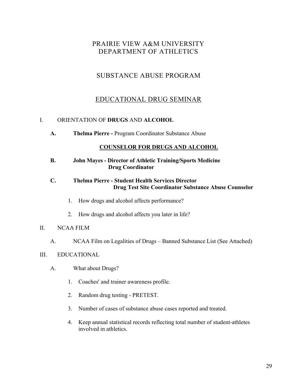## SUBSTANCE ABUSE PROGRAM

## EDUCATIONAL DRUG SEMINAR

#### I. ORIENTATION OF **DRUGS** AND **ALCOHOL**

**A. Thelma Pierre -** Program Coordinator Substance Abuse

#### **COUNSELOR FOR DRUGS AND ALCOHOL**

**B. John Mayes - Director of Athletic Training/Sports Medicine Drug Coordinator** 

#### **C. Thelma Pierre - Student Health Services Director Drug Test Site Coordinator Substance Abuse Counselor**

- 1. How drugs and alcohol affects performance?
- 2. How drugs and alcohol affects you later in life?

#### II. NCAA FILM

A. NCAA Film on Legalities of Drugs – Banned Substance List (See Attached)

#### III. EDUCATIONAL

- A. What about Drugs?
	- 1. Coaches' and trainer awareness profile.
	- 2. Random drug testing PRETEST.
	- 3. Number of cases of substance abuse cases reported and treated.
	- 4. Keep annual statistical records reflecting total number of student-athletes involved in athletics.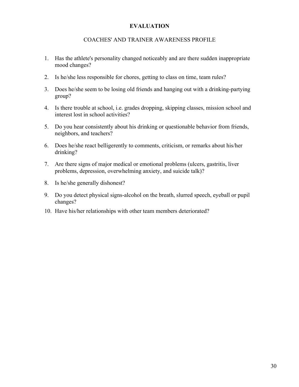#### **EVALUATION**

#### COACHES' AND TRAINER AWARENESS PROFILE

- 1. Has the athlete's personality changed noticeably and are there sudden inappropriate mood changes?
- 2. Is he/she less responsible for chores, getting to class on time, team rules?
- 3. Does he/she seem to be losing old friends and hanging out with a drinking-partying group?
- 4. Is there trouble at school, i.e. grades dropping, skipping classes, mission school and interest lost in school activities?
- 5. Do you hear consistently about his drinking or questionable behavior from friends, neighbors, and teachers?
- 6. Does he/she react belligerently to comments, criticism, or remarks about his/her drinking?
- 7. Are there signs of major medical or emotional problems (ulcers, gastritis, liver problems, depression, overwhelming anxiety, and suicide talk)?
- 8. Is he/she generally dishonest?
- 9. Do you detect physical signs-alcohol on the breath, slurred speech, eyeball or pupil changes?
- 10. Have his/her relationships with other team members deteriorated?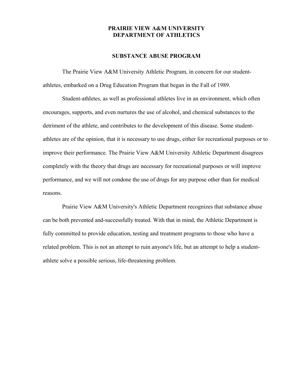#### **SUBSTANCE ABUSE PROGRAM**

The Prairie View A&M University Athletic Program, in concern for our studentathletes, embarked on a Drug Education Program that began in the Fall of 1989.

Student-athletes, as well as professional athletes live in an environment, which often encourages, supports, and even nurtures the use of alcohol, and chemical substances to the detriment of the athlete, and contributes to the development of this disease. Some studentathletes are of the opinion, that it is necessary to use drugs, either for recreational purposes or to improve their performance. The Prairie View A&M University Athletic Department disagrees completely with the theory that drugs are necessary for recreational purposes or will improve performance, and we will not condone the use of drugs for any purpose other than for medical reasons.

Prairie View A&M University's Athletic Department recognizes that substance abuse can be both prevented and-successfully treated. With that in mind, the Athletic Department is fully committed to provide education, testing and treatment programs to those who have a related problem. This is not an attempt to ruin anyone's life, but an attempt to help a studentathlete solve a possible serious, life-threatening problem.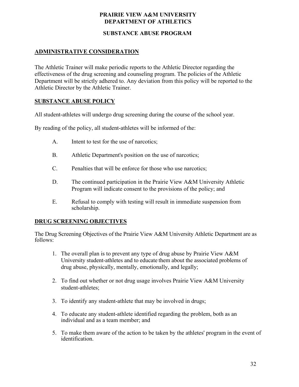#### **SUBSTANCE ABUSE PROGRAM**

#### **ADMINISTRATIVE CONSIDERATION**

The Athletic Trainer will make periodic reports to the Athletic Director regarding the effectiveness of the drug screening and counseling program. The policies of the Athletic Department will be strictly adhered to. Any deviation from this policy will be reported to the Athletic Director by the Athletic Trainer.

#### **SUBSTANCE ABUSE POLICY**

All student-athletes will undergo drug screening during the course of the school year.

By reading of the policy, all student-athletes will be informed of the:

- A. Intent to test for the use of narcotics;
- B. Athletic Department's position on the use of narcotics;
- C. Penalties that will be enforce for those who use narcotics;
- D. The continued participation in the Prairie View A&M University Athletic Program will indicate consent to the provisions of the policy; and
- E. Refusal to comply with testing will result in immediate suspension from scholarship.

#### **DRUG SCREENING OBJECTIVES**

The Drug Screening Objectives of the Prairie View A&M University Athletic Department are as follows:

- 1. The overall plan is to prevent any type of drug abuse by Prairie View A&M University student-athletes and to educate them about the associated problems of drug abuse, physically, mentally, emotionally, and legally;
- 2. To find out whether or not drug usage involves Prairie View A&M University student-athletes;
- 3. To identify any student-athlete that may be involved in drugs;
- 4. To educate any student-athlete identified regarding the problem, both as an individual and as a team member; and
- 5. To make them aware of the action to be taken by the athletes' program in the event of identification.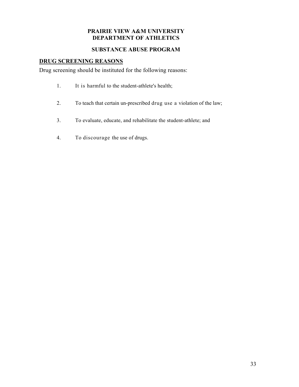#### **SUBSTANCE ABUSE PROGRAM**

#### **DRUG SCREENING REASONS**

Drug screening should be instituted for the following reasons:

- 1. It is harmful to the student-athlete's health;
- 2. To teach that certain un-prescribed drug use a violation of the law;
- 3. To evaluate, educate, and rehabilitate the student-athlete; and
- 4. To discourage the use of drugs.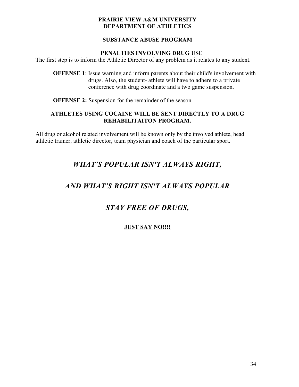#### **SUBSTANCE ABUSE PROGRAM**

#### **PENALTIES INVOLVING DRUG USE**

The first step is to inform the Athletic Director of any problem as it relates to any student.

**OFFENSE 1**: Issue warning and inform parents about their child's involvement with drugs. Also, the student- athlete will have to adhere to a private conference with drug coordinate and a two game suspension.

**OFFENSE 2:** Suspension for the remainder of the season.

#### **ATHLETES USING COCAINE WILL BE SENT DIRECTLY TO A DRUG REHABILITAITON PROGRAM.**

All drug or alcohol related involvement will be known only by the involved athlete, head athletic trainer, athletic director, team physician and coach of the particular sport.

## *WHAT'S POPULAR ISN'T ALWAYS RIGHT,*

## *AND WHAT'S RIGHT ISN'T ALWAYS POPULAR*

## *STAY FREE OF DRUGS,*

### **JUST SAY NO!!!!**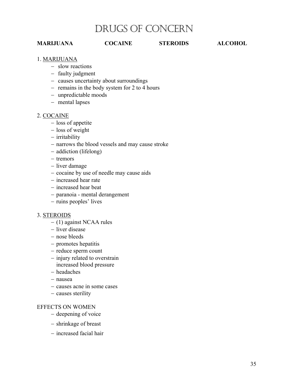## DRUGS OF CONCERN

#### **MARIJUANA COCAINE STEROIDS ALCOHOL**

#### 1. MARIJUANA

- slow reactions
- faulty judgment
- causes uncertainty about surroundings
- remains in the body system for 2 to 4 hours
- unpredictable moods
- mental lapses

#### 2. COCAINE

- loss of appetite
- loss of weight
- irritability
- narrows the blood vessels and may cause stroke
- addiction (lifelong)
- tremors
- liver damage
- cocaine by use of needle may cause aids
- increased hear rate
- increased hear beat
- paranoia mental derangement
- ruins peoples' lives

#### 3. STEROIDS

- $-$  (1) against NCAA rules
- liver disease
- nose bleeds
- promotes hepatitis
- reduce sperm count
- injury related to overstrain increased blood pressure
- headaches
- nausea
- causes acne in some cases
- causes sterility

#### EFFECTS ON WOMEN

- deepening of voice
- shrinkage of breast
- increased facial hair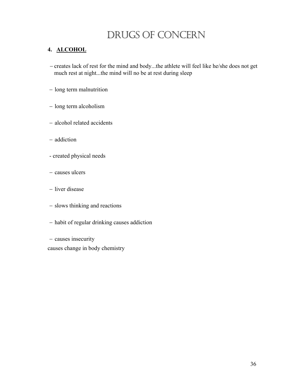# DRUGS OF CONCERN

#### **4. ALCOHOL**

- creates lack of rest for the mind and body...the athlete will feel like he/she does not get much rest at night...the mind will no be at rest during sleep
- long term malnutrition
- long term alcoholism
- alcohol related accidents
- addiction
- created physical needs
- causes ulcers
- liver disease
- slows thinking and reactions
- habit of regular drinking causes addiction

- causes insecurity causes change in body chemistry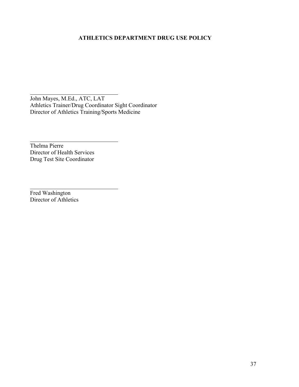#### **ATHLETICS DEPARTMENT DRUG USE POLICY**

John Mayes, M.Ed., ATC, LAT Athletics Trainer/Drug Coordinator Sight Coordinator Director of Athletics Training/Sports Medicine

Thelma Pierre Director of Health Services Drug Test Site Coordinator

 $\overline{a}$ 

 $\overline{a}$ 

 $\overline{a}$ 

Fred Washington Director of Athletics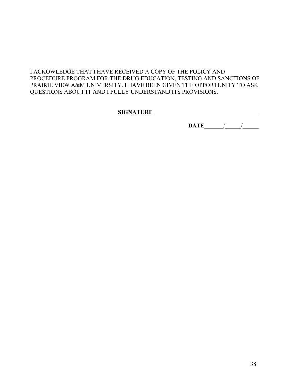#### I ACKOWLEDGE THAT I HAVE RECEIVED A COPY OF THE POLICY AND PROCEDURE PROGRAM FOR THE DRUG EDUCATION, TESTING AND SANCTIONS OF PRAIRIE VIEW A&M UNIVERSITY. I HAVE BEEN GIVEN THE OPPORTUNITY TO ASK QUESTIONS ABOUT IT AND I FULLY UNDERSTAND ITS PROVISIONS.

**SIGNATURE**

 **DATE** / /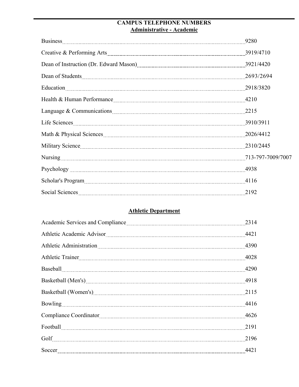### **CAMPUS TELEPHONE NUMBERS Administrative - Academic**

|                                                                                                                                                                                                                                     | 9280 |
|-------------------------------------------------------------------------------------------------------------------------------------------------------------------------------------------------------------------------------------|------|
|                                                                                                                                                                                                                                     |      |
| Dean of Instruction (Dr. Edward Mason) 2004 120 Apr 2014 120                                                                                                                                                                        |      |
|                                                                                                                                                                                                                                     |      |
|                                                                                                                                                                                                                                     |      |
| Health & Human Performance <u>manual contract and the set of a</u> set of the set of the set of the set of the set of the set of the set of the set of the set of the set of the set of the set of the set of the set of the set of |      |
|                                                                                                                                                                                                                                     |      |
| Life Sciences 3910/3911                                                                                                                                                                                                             |      |
|                                                                                                                                                                                                                                     |      |
| Military Science 2310/2445                                                                                                                                                                                                          |      |
|                                                                                                                                                                                                                                     |      |
|                                                                                                                                                                                                                                     |      |
|                                                                                                                                                                                                                                     |      |
| Social Sciences 2192                                                                                                                                                                                                                |      |

## **Athletic Department**

|                                                                                                                                                                                                                                | 2314 |
|--------------------------------------------------------------------------------------------------------------------------------------------------------------------------------------------------------------------------------|------|
|                                                                                                                                                                                                                                |      |
|                                                                                                                                                                                                                                | 4390 |
|                                                                                                                                                                                                                                | 4028 |
|                                                                                                                                                                                                                                | 4290 |
| Basketball (Men's) 2918                                                                                                                                                                                                        |      |
| Basketball (Women's) 2115                                                                                                                                                                                                      |      |
|                                                                                                                                                                                                                                |      |
| Compliance Coordinator [11] Compliance Coordinator [11] Compliance Coordinator [11] Compliance Coordinator [11] Compliance Coordinator [11] Compliance Coordinator [11] Compliance Coordinator [11] Compliance Coordinator [11 | 4626 |
|                                                                                                                                                                                                                                | 2191 |
|                                                                                                                                                                                                                                | 2196 |
| Soccer 14421                                                                                                                                                                                                                   |      |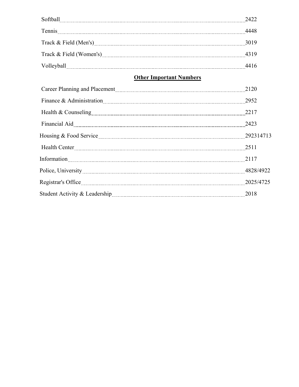| Softball <u>with the contract of the contract of the contract of the contract of the contract of the contract of the contract of the contract of the contract of the contract of the contract of the contract of the contract of</u> | 2422 |
|--------------------------------------------------------------------------------------------------------------------------------------------------------------------------------------------------------------------------------------|------|
| Tennis 2000 and 2000 and 2000 and 2000 and 2000 and 2000 and 2000 and 2000 and 2000 and 2000 and 2000 and 2000 and 2000 and 2000 and 2000 and 2000 and 2000 and 2000 and 2000 and 2000 and 2000 and 2000 and 2000 and 2000 and       | 4448 |
|                                                                                                                                                                                                                                      | 3019 |
|                                                                                                                                                                                                                                      | 4319 |
|                                                                                                                                                                                                                                      | 4416 |
| <b>Other Important Numbers</b>                                                                                                                                                                                                       |      |
|                                                                                                                                                                                                                                      | 2120 |
| $F_{\text{inang}} \& \Lambda_{\text{dministribution}}$                                                                                                                                                                               | 2052 |

| Finance & Administration 2952                  |  |
|------------------------------------------------|--|
| Health & Counseling 2217                       |  |
| Financial Aid 2423                             |  |
| Housing & Food Service <b>Mature 292314713</b> |  |
| Health Center 2511                             |  |
| Information 2117                               |  |
|                                                |  |
| Registrar's Office 2025/4725                   |  |
|                                                |  |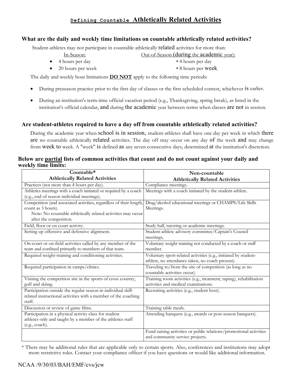### **Defining Countable Athletically Related Activities**

#### **What are the daily and weekly time limitations on countable athletically related activities?**

Student-athletes may not participate in countable athletically related activities for more than:

- 
- In-Season: Out-of-Season (during the academic year):
- 4 hours per day 4 hours per day
	-
- 20 hours per week 8 hours per week

The daily and weekly hour limitations **DO NOT** apply to the following time periods:

- During preseason practice prior to the first day of classes or the first scheduled contest, whichever is earlier.
- During an institution's term-time official vacation period (e.g., Thanksgiving, spring break), as listed in the institution's official calendar, and during the academic year between terms when classes are not in session.

#### **Are student-athletes required to have a day off from countable athletically related activities?**

During the academic year when school is in session, student-athletes shall have one day per week in which there are no countable athletically related activities. The day off may occur on any day of the week and may change from week to week. A "week" is defined as any seven consecutive days, determined at the institution's discretion.

#### **Below are partial lists of common activities that count and do not count against your daily and weekly time limits:**

| Countable*                                                                                                                                                                          | Non-countable                                                                                                       |
|-------------------------------------------------------------------------------------------------------------------------------------------------------------------------------------|---------------------------------------------------------------------------------------------------------------------|
| <b>Athletically Related Activities</b>                                                                                                                                              | <b>Athletically Related Activities</b>                                                                              |
| Practices (not more than 4 hours per day).                                                                                                                                          | Compliance meetings.                                                                                                |
| Athletics meetings with a coach initiated or required by a coach<br>(e.g., end of season individual meetings).                                                                      | Meetings with a coach initiated by the student-athlete.                                                             |
| Competition (and associated activities, regardless of their length,<br>count as 3 hours).<br>Note: No countable athletically related activities may occur<br>after the competition. | Drag/alcohol educational meetings or CHAMPS/Life Skills<br>Meetings.                                                |
| Field, floor or on court activity.                                                                                                                                                  | Study hall, tutoring or academic meetings.                                                                          |
| Setting up offensive and defensive alignment.                                                                                                                                       | Student-athlete advisory committee/Captain's Council<br>meetings,                                                   |
| On-court or on-field activities called by any member of the<br>team and confined primarily to members of that team.                                                                 | Voluntary weight training not conducted by a coach or staff<br>member.                                              |
| Required weight-training and conditioning activities.                                                                                                                               | Voluntary sport-related activities (e.g., initiated by student-<br>athlete, no attendance taken, no coach present). |
| Required participation in camps/clinics.                                                                                                                                            | Traveling to/from the site of competition (as long as no<br>countable activities occur).                            |
| Visiting the competition site in the sports of cross country,<br>golf and skiing.                                                                                                   | Training room activities (e.g., treatment, taping), rehabilitation<br>activities and medical examinations.          |
| Participation outside the regular season in individual skill-<br>related instructional activities with a member of the coaching<br>staff.                                           | Recruiting activities (e.g., student host).                                                                         |
| Discussion or review of game films.                                                                                                                                                 | Training table meals.                                                                                               |
| Participation in a physical activity class for student<br>athletes only and taught by a member of the athletics staff<br>(e.g., coach).                                             | Attending banquets (e.g., awards or post-season banquets).                                                          |
|                                                                                                                                                                                     | Fund-raising activities or public relations/promotional activities<br>and community service projects.               |

\* There may be additional rules that are applicable only to certain sports. Also, conferences and institutions may adopt more restrictive rules. Contact your compliance officer if you have questions or would like additional information.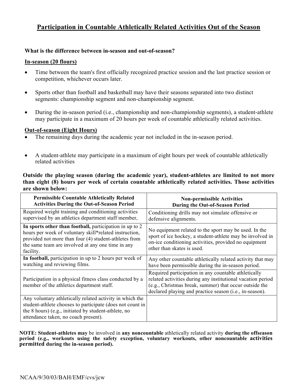### **Participation in Countable Athletically Related Activities Out of the Season**

#### **What is the difference between in-season and out-of-season?**

#### **In-season (20 flours)**

- Time between the team's first officially recognized practice session and the last practice session or competition, whichever occurs later.
- Sports other than football and basketball may have their seasons separated into two distinct segments: championship segment and non-championship segment.
- During the in-season period (i.e., championship and non-championship segments), a student-athlete may participate in a maximum of 20 hours per week of countable athletically related activities.

#### **Out-of-season (Eight Hours)**

- The remaining days during the academic year not included in the in-season period.
- A student-athlete may participate in a maximum of eight hours per week of countable athletically related activities

#### **Outside the playing season (during the academic year), student-athletes are limited to not more than eight (8) hours per week of certain countable athletically related activities. Those activities are shown below:**

| <b>Permissible Countable Athletically Related</b>                                                                                                                                                                                            | <b>Non-permissible Activities</b>                                                                                                                                                                                                        |
|----------------------------------------------------------------------------------------------------------------------------------------------------------------------------------------------------------------------------------------------|------------------------------------------------------------------------------------------------------------------------------------------------------------------------------------------------------------------------------------------|
| <b>Activities During the Out-of-Season Period</b>                                                                                                                                                                                            | <b>During the Out-of-Season Period</b>                                                                                                                                                                                                   |
| Required weight training and conditioning activities                                                                                                                                                                                         | Conditioning drills may not simulate offensive or                                                                                                                                                                                        |
| supervised by an athletics department staff member,                                                                                                                                                                                          | defensive alignments.                                                                                                                                                                                                                    |
| In sports other than football, participation in up to 2<br>hours per week of voluntary skill*related instruction,<br>provided not more than four (4) student-athletes from<br>the same team are involved at any one time in any<br>facility. | No equipment related to the sport may be used. In the<br>sport of ice hockey, a student-athlete may be involved in<br>on-ice conditioning activities, provided no equipment<br>other than skates is used.                                |
| In football, participation in up to 2 hours per week of                                                                                                                                                                                      | Any other countable athletically related activity that may                                                                                                                                                                               |
| watching and reviewing films.                                                                                                                                                                                                                | have been permissible during the in-season period.                                                                                                                                                                                       |
| Participation in a physical fitness class conducted by a<br>member of the athletics department staff.                                                                                                                                        | Required participation in any countable athletically<br>related activities during any institutional vacation period<br>(e.g., Christmas break, summer) that occur outside the<br>declared playing and practice season (i.e., in-season). |
| Any voluntary athletically related activity in which the<br>student-athlete chooses to participate (does not count in<br>the 8 hours) (e.g., initiated by student-athlete, no<br>attendance taken, no coach present).                        |                                                                                                                                                                                                                                          |

**NOTE: Student-athletes may** be involved in **any noncountable** athletically related activity **during the offseason period (e.g., workouts using the safety exception, voluntary workouts, other noncountable activities permitted during the in-season period).**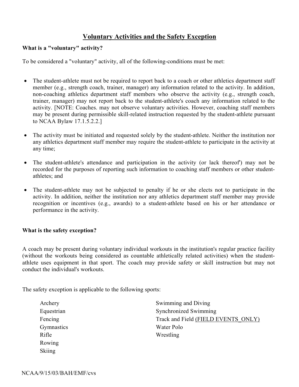#### **Voluntary Activities and the Safety Exception**

#### **What is a "voluntary" activity?**

To be considered a "voluntary" activity, all of the following-conditions must be met:

- The student-athlete must not be required to report back to a coach or other athletics department staff member (e.g., strength coach, trainer, manager) any information related to the activity. In addition, non-coaching athletics department staff members who observe the activity (e.g., strength coach, trainer, manager) may not report back to the student-athlete's coach any information related to the activity. [NOTE: Coaches. may not observe voluntary activities. However, coaching staff members may be present during permissible skill-related instruction requested by the student-athlete pursuant to NCAA Bylaw 17.1.5.2.2.]
- The activity must be initiated and requested solely by the student-athlete. Neither the institution nor any athletics department staff member may require the student-athlete to participate in the activity at any time;
- The student-athlete's attendance and participation in the activity (or lack thereof) may not be recorded for the purposes of reporting such information to coaching staff members or other studentathletes; and
- The student-athlete may not be subjected to penalty if he or she elects not to participate in the activity. In addition, neither the institution nor any athletics department staff member may provide recognition or incentives (e.g., awards) to a student-athlete based on his or her attendance or performance in the activity.

#### **What is the safety exception?**

A coach may be present during voluntary individual workouts in the institution's regular practice facility (without the workouts being considered as countable athletically related activities) when the studentathlete uses equipment in that sport. The coach may provide safety or skill instruction but may not conduct the individual's workouts.

The safety exception is applicable to the following sports:

| Archery       | Swimming and Diving                 |  |
|---------------|-------------------------------------|--|
| Equestrian    | Synchronized Swimming               |  |
| Fencing       | Track and Field (FIELD EVENTS ONLY) |  |
| Gymnastics    | Water Polo                          |  |
| Rifle         | Wrestling                           |  |
| Rowing        |                                     |  |
| <b>Skiing</b> |                                     |  |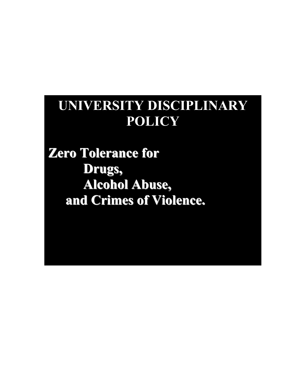# **UNIVERSITY DISCIPLINARY POLICY**

**Zero Tolerance for Drugs, Alcohol Abuse, and Crimes of Violence.**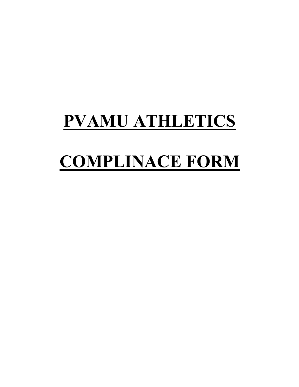# **PVAMU ATHLETICS**

# **COMPLINACE FORM**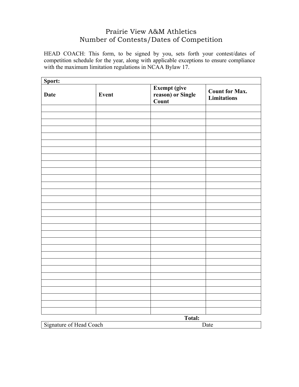## Prairie View A&M Athletics Number of Contests/Dates of Competition

HEAD COACH: This form, to be signed by you, sets forth your contest/dates of competition schedule for the year, along with applicable exceptions to ensure compliance with the maximum limitation regulations in NCAA Bylaw 17.

| Sport:      |       |                                                    |                                             |
|-------------|-------|----------------------------------------------------|---------------------------------------------|
| <b>Date</b> | Event | <b>Exempt (give<br/>reason) or Single</b><br>Count | <b>Count for Max.</b><br><b>Limitations</b> |
|             |       |                                                    |                                             |
|             |       |                                                    |                                             |
|             |       |                                                    |                                             |
|             |       |                                                    |                                             |
|             |       |                                                    |                                             |
|             |       |                                                    |                                             |
|             |       |                                                    |                                             |
|             |       |                                                    |                                             |
|             |       |                                                    |                                             |
|             |       |                                                    |                                             |
|             |       |                                                    |                                             |
|             |       |                                                    |                                             |
|             |       |                                                    |                                             |
|             |       |                                                    |                                             |
|             |       |                                                    |                                             |
|             |       |                                                    |                                             |
|             |       |                                                    |                                             |
|             |       |                                                    |                                             |
|             |       |                                                    |                                             |
|             |       |                                                    |                                             |
|             |       |                                                    |                                             |
|             |       |                                                    |                                             |
|             |       |                                                    |                                             |
|             |       |                                                    |                                             |
|             |       |                                                    |                                             |
|             |       |                                                    |                                             |
|             |       |                                                    |                                             |
|             |       |                                                    |                                             |
|             |       |                                                    |                                             |
|             |       |                                                    |                                             |
|             |       | Total:                                             |                                             |

Signature of Head Coach Date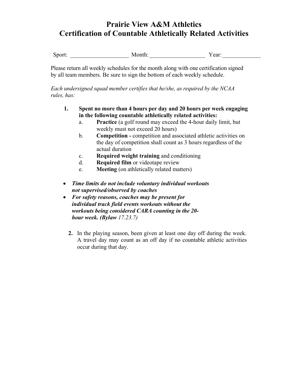## **Prairie View A&M Athletics Certification of Countable Athletically Related Activities**

Sport: Month: The Month: The Year:  $\alpha$ 

Please return all weekly schedules for the month along with one certification signed by all team members. Be sure to sign the bottom of each weekly schedule.

*Each undersigned squad member certifies that he/she, as required by the NCAA rules, has:* 

- **1. Spent no more than 4 hours per day and 20 hours per week engaging in the following countable athletically related activities:** 
	- a. **Practice** (a golf round may exceed the 4-hour daily limit, but weekly must not exceed 20 hours)
	- b. **Competition** competition and associated athletic activities on the day of competition shall count as 3 hours regardless of the actual duration
	- c. **Required weight training** and conditioning
	- d. **Required film** or videotape review
	- e. **Meeting** (on athletically related matters)
- " *Time limits do not include voluntary individual workouts not supervised/observed by coaches*
- For safety reasons, coaches may be present for *individual track field events workouts without the workouts being considered CARA counting in the 20 hour week. (Bylaw 17.23.7)*
	- **2.** In the playing season, been given at least one day off during the week. A travel day may count as an off day if no countable athletic activities occur during that day.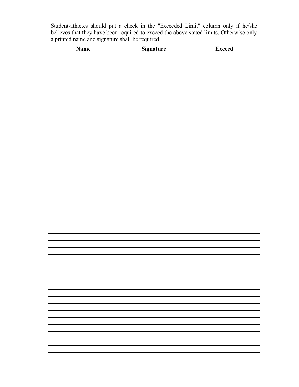Student-athletes should put a check in the "Exceeded Limit" column only if he/she believes that they have been required to exceed the above stated limits. Otherwise only a printed name and signature shall be required.

| <b>Name</b> | <b>Signature</b> | <b>Exceed</b> |
|-------------|------------------|---------------|
|             |                  |               |
|             |                  |               |
|             |                  |               |
|             |                  |               |
|             |                  |               |
|             |                  |               |
|             |                  |               |
|             |                  |               |
|             |                  |               |
|             |                  |               |
|             |                  |               |
|             |                  |               |
|             |                  |               |
|             |                  |               |
|             |                  |               |
|             |                  |               |
|             |                  |               |
|             |                  |               |
|             |                  |               |
|             |                  |               |
|             |                  |               |
|             |                  |               |
|             |                  |               |
|             |                  |               |
|             |                  |               |
|             |                  |               |
|             |                  |               |
|             |                  |               |
|             |                  |               |
|             |                  |               |
|             |                  |               |
|             |                  |               |
|             |                  |               |
|             |                  |               |
|             |                  |               |
|             |                  |               |
|             |                  |               |
|             |                  |               |
|             |                  |               |
|             |                  |               |
|             |                  |               |
|             |                  |               |
|             |                  |               |
|             |                  |               |
|             |                  |               |
|             |                  |               |
|             |                  |               |
|             |                  |               |
|             |                  |               |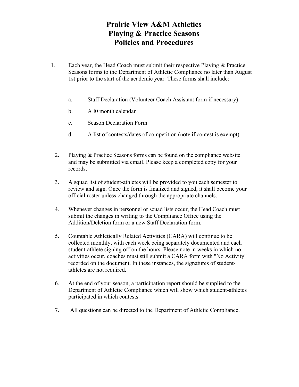## **Prairie View A&M Athletics Playing & Practice Seasons Policies and Procedures**

- 1. Each year, the Head Coach must submit their respective Playing & Practice Seasons forms to the Department of Athletic Compliance no later than August 1st prior to the start of the academic year. These forms shall include:
	- a. Staff Declaration (Volunteer Coach Assistant form if necessary)
	- b. A l0 month calendar
	- c. Season Declaration Form
	- d. A list of contests/dates of competition (note if contest is exempt)
	- 2. Playing & Practice Seasons forms can be found on the compliance website and may be submitted via email. Please keep a completed copy for your records.
	- 3. A squad list of student-athletes will be provided to you each semester to review and sign. Once the form is finalized and signed, it shall become your official roster unless changed through the appropriate channels.
	- 4. Whenever changes in personnel or squad lists occur, the Head Coach must submit the changes in writing to the Compliance Office using the Addition/Deletion form or a new Staff Declaration form.
	- 5. Countable Athletically Related Activities (CARA) will continue to be collected monthly, with each week being separately documented and each student-athlete signing off on the hours. Please note in weeks in which no activities occur, coaches must still submit a CARA form with "No Activity" recorded on the document. In these instances, the signatures of studentathletes are not required.
	- 6. At the end of your season, a participation report should be supplied to the Department of Athletic Compliance which will show which student-athletes participated in which contests.
	- 7. All questions can be directed to the Department of Athletic Compliance.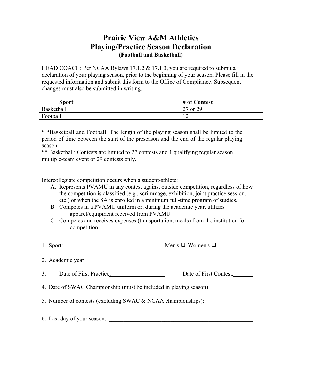## **Prairie View A&M Athletics Playing/Practice Season Declaration (Football and Basketball)**

HEAD COACH: Per NCAA Bylaws 17.1.2 & 17.1.3, you are required to submit a declaration of your playing season, prior to the beginning of your season. Please fill in the requested information and submit this form to the Office of Compliance. Subsequent changes must also be submitted in writing.

| Sport      | # of Contest   |
|------------|----------------|
| Basketball | 27 or 29       |
| Football   | $\overline{1}$ |

\* \*Basketball and Football: The length of the playing season shall be limited to the period of time between the start of the preseason and the end of the regular playing season.

\*\* Basketball: Contests are limited to 27 contests and 1 qualifying regular season multiple-team event or 29 contests only.

Intercollegiate competition occurs when a student-athlete:

- A. Represents PVAMU in any contest against outside competition, regardless of how the competition is classified (e.g., scrimmage, exhibition, joint practice session, etc.) or when the SA is enrolled in a minimum full-time program of studies.
- B. Competes in a PVAMU uniform or, during the academic year, utilizes apparel/equipment received from PVAMU
- C. Competes and receives expenses (transportation, meals) from the institution for competition.
- 1. Sport: \_\_\_\_\_\_\_\_\_\_\_\_\_\_\_\_\_\_\_\_\_\_\_\_\_\_\_\_\_\_\_\_\_ Men's ! Women's !
- 2. Academic year:
- 3. Date of First Practice: Date of First Contest:
- 4. Date of SWAC Championship (must be included in playing season):
- 5. Number of contests (excluding SWAC & NCAA championships):
- 6. Last day of your season: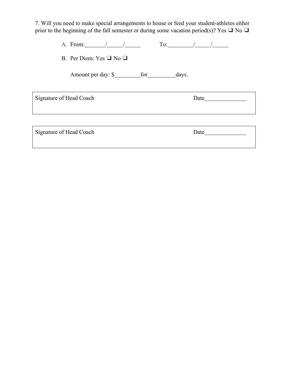7. Will you need to make special arrangements to house or feed your student-athletes either prior to the beginning of the fall semester or during some vacation period(s)? Yes  $\Box$  No  $\Box$ 

| B. Per Diem: Yes $\Box$ No $\Box$ |                                                 |
|-----------------------------------|-------------------------------------------------|
|                                   |                                                 |
| <b>Signature of Head Coach</b>    | Date $\_\_\_\_\_\_\_\_\_\_\_\_\_\_\_\_\_\_\_\_$ |
|                                   |                                                 |
| <b>Signature of Head Coach</b>    | Date                                            |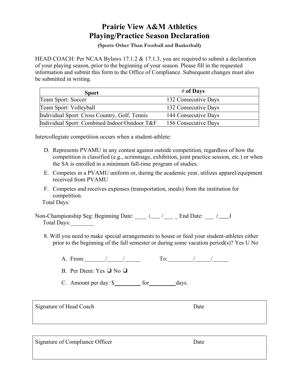## **Prairie View A&M Athletics Playing/Practice Season Declaration**

**(Sports Other Than Football and Basketball)** 

HEAD COACH: Per NCAA Bylaws 17.1.2 & 17.1.3, you are required to submit a declaration of your playing season, prior to the beginning of your season. Please fill in the requested information and submit this form to the Office of Compliance. Subsequent changes must also be submitted in writing.

| <b>Sport</b>                                  | # of Days            |
|-----------------------------------------------|----------------------|
| Team Sport: Soccer                            | 132 Consecutive Days |
| Team Sport: Volleyball                        | 132 Consecutive Days |
| Individual Sport: Cross Country, Golf, Tennis | 144 Consecutive Days |
| Individual Sport: Combined Indoor/Outdoor T&F | 156 Consecutive Days |

Intercollegiate competition occurs when a student-athlete:

- D. Represents PVAMU in any contest against outside competition, regardless of how the competition is classified (e.g., scrimmage, exhibition, joint practice session, etc.) or when the SA is enrolled in a minimum full-time program of studies.
- E. Competes in a PVAMU uniform or, during the academic year, utilizes apparel/equipment received from PVAMU
- F. Competes and receives expenses (transportation, meals) from the institution for competition.

Total Days:

Non-Championship Seg: Beginning Date:  $I_{\text{max}}$  /  $I_{\text{max}}$  *I*  $I_{\text{max}}$  *I* Total Days:\_\_\_\_\_\_\_\_

8. Will you need to make special arrangements to house or feed your student-athletes either prior to the beginning of the fall semester or during some vacation period(s)? Yes U No

A. From:  $/$  / To:  $/$  /

B. Per Diem: Yes  $\Box$  No  $\Box$ 

C. Amount per day:  $\frac{\sqrt{3}}{2}$  for days.

Signature of Head Coach Date

Signature of Compliance Officer Date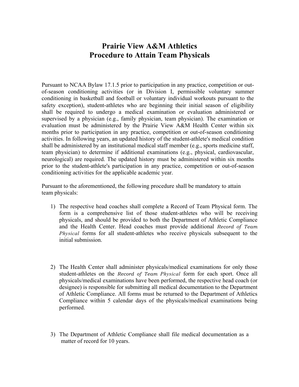## **Prairie View A&M Athletics Procedure to Attain Team Physicals**

Pursuant to NCAA Bylaw 17.1.5 prior to participation in any practice, competition or outof-season conditioning activities (or in Division I, permissible voluntary summer conditioning in basketball and football or voluntary individual workouts pursuant to the safety exception), student-athletes who are beginning their initial season of eligibility shall be required to undergo a medical examination or evaluation administered or supervised by a physician (e.g., family physician, team physician). The examination or evaluation must be administered by the Prairie View A&M Health Center within six months prior to participation in any practice, competition or out-of-season conditioning activities. In following years, an updated history of the student-athlete's medical condition shall be administered by an institutional medical staff member (e.g., sports medicine staff, team physician) to determine if additional examinations (e.g., physical, cardiovascular, neurological) are required. The updated history must be administered within six months prior to the student-athlete's participation in any practice, competition or out-of-season conditioning activities for the applicable academic year.

Pursuant to the aforementioned, the following procedure shall be mandatory to attain team physicals:

- 1) The respective head coaches shall complete a Record of Team Physical form. The form is a comprehensive list of those student-athletes who will be receiving physicals, and should be provided to both the Department of Athletic Compliance and the Health Center. Head coaches must provide additional *Record of Team Physical* forms for all student-athletes who receive physicals subsequent to the initial submission.
- 2) The Health Center shall administer physicals/medical examinations for only those student-athletes on the *Record of Team Physical* form for each sport. Once all physicals/medical examinations have been performed, the respective head coach (or designee) is responsible for submitting all medical documentation to the Department of Athletic Compliance. All forms must be returned to the Department of Athletics Compliance within 5 calendar days of the physicals/medical examinations being performed.
- 3) The Department of Athletic Compliance shall file medical documentation as a matter of record for 10 years.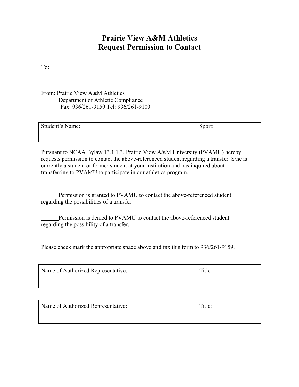## **Prairie View A&M Athletics Request Permission to Contact**

To:

From: Prairie View A&M Athletics Department of Athletic Compliance Fax: 936/261-9159 Tel: 936/261-9100

| Student's Name: | Sport: |
|-----------------|--------|
|                 |        |

Pursuant to NCAA Bylaw 13.1.1.3, Prairie View A&M University (PVAMU) hereby requests permission to contact the above-referenced student regarding a transfer. S/he is currently a student or former student at your institution and has inquired about transferring to PVAMU to participate in our athletics program.

Permission is granted to PVAMU to contact the above-referenced student regarding the possibilities of a transfer.

Permission is denied to PVAMU to contact the above-referenced student regarding the possibility of a transfer.

Please check mark the appropriate space above and fax this form to 936/261-9159.

Name of Authorized Representative: Title:

Name of Authorized Representative: Title: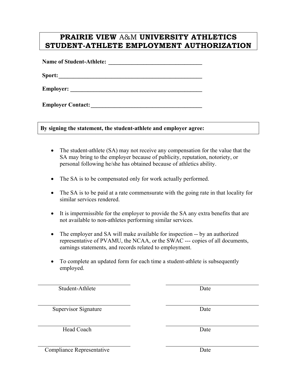## **PRAIRIE VIEW** A&M **UNIVERSITY ATHLETICS STUDENT-ATHLETE EMPLOYMENT AUTHORIZATION**

**Name of Student-Athlete: \_\_\_\_\_\_\_\_\_\_\_\_\_\_\_\_\_\_\_\_\_\_\_\_\_\_\_\_\_\_\_\_** 

**Sport: \_\_\_\_\_\_\_\_\_\_\_\_\_\_\_\_\_\_\_\_\_\_\_\_\_\_\_\_\_\_\_\_\_\_\_\_\_\_\_\_\_\_\_\_\_\_\_\_\_** 

**Employer:**  $\blacksquare$ 

**Employer Contact:** 

**By signing the statement, the student-athlete and employer agree:** 

- The student-athlete (SA) may not receive any compensation for the value that the SA may bring to the employer because of publicity, reputation, notoriety, or personal following he/she has obtained because of athletics ability.
- The SA is to be compensated only for work actually performed.
- The SA is to be paid at a rate commensurate with the going rate in that locality for similar services rendered.
- It is impermissible for the employer to provide the SA any extra benefits that are not available to non-athletes performing similar services.
- The employer and SA will make available for inspection -- by an authorized representative of PVAMU, the NCAA, or the SWAC --- copies of all documents, earnings statements, and records related to employment.
- To complete an updated form for each time a student-athlete is subsequently employed.

| Student-Athlete             | Date |
|-----------------------------|------|
| <b>Supervisor Signature</b> | Date |
| Head Coach                  | Date |

Compliance Representative Date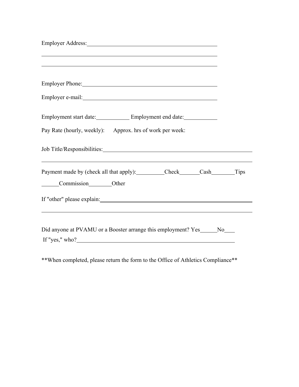| Employer Address: No. 1996. The Second Second Second Second Second Second Second Second Second Second Second Second Second Second Second Second Second Second Second Second Second Second Second Second Second Second Second S       |  |
|--------------------------------------------------------------------------------------------------------------------------------------------------------------------------------------------------------------------------------------|--|
|                                                                                                                                                                                                                                      |  |
| Employer Phone: 2008 Contract 2008 Contract 2008 Contract 2008 Contract 2008 Contract 2008 Contract 2008 Contract 2008 Contract 2008 Contract 2008 Contract 2008 Contract 2008 Contract 2008 Contract 2008 Contract 2008 Contr       |  |
| Employer e-mail: <u>contract and the set of the set of the set of the set of the set of the set of the set of the set of the set of the set of the set of the set of the set of the set of the set of the set of the set of the </u> |  |
| Employment start date: Employment end date:                                                                                                                                                                                          |  |
| Pay Rate (hourly, weekly): Approx. hrs of work per week:                                                                                                                                                                             |  |
|                                                                                                                                                                                                                                      |  |
| Payment made by (check all that apply): __________Check_______Cash______________Tips<br>Commission Other                                                                                                                             |  |
|                                                                                                                                                                                                                                      |  |
| Did anyone at PVAMU or a Booster arrange this employment? Yes_____No___<br>If "yes," $who?$                                                                                                                                          |  |

\*\*When completed, please return the form to the Office of Athletics Compliance\*\*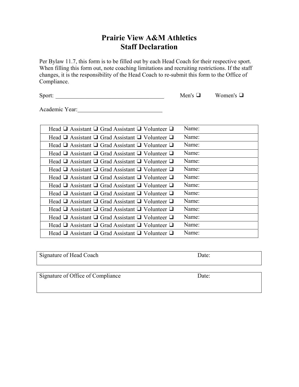## **Prairie View A&M Athletics Staff Declaration**

Per Bylaw 11.7, this form is to be filled out by each Head Coach for their respective sport. When filling this form out, note coaching limitations and recruiting restrictions. If the staff changes, it is the responsibility of the Head Coach to re-submit this form to the Office of Compliance.

Sport: \_\_\_\_\_\_\_\_\_\_\_\_\_\_\_\_\_\_\_\_\_\_\_\_\_\_\_\_\_\_\_\_\_\_\_\_\_ Men's ! Women's !

Academic Year:

| Head $\Box$ Assistant $\Box$ Grad Assistant $\Box$ Volunteer $\Box$ | Name: |
|---------------------------------------------------------------------|-------|
| Head $\Box$ Assistant $\Box$ Grad Assistant $\Box$ Volunteer $\Box$ | Name: |
| Head $\Box$ Assistant $\Box$ Grad Assistant $\Box$ Volunteer $\Box$ | Name: |
| Head $\Box$ Assistant $\Box$ Grad Assistant $\Box$ Volunteer $\Box$ | Name: |
| Head $\Box$ Assistant $\Box$ Grad Assistant $\Box$ Volunteer $\Box$ | Name: |
| Head $\Box$ Assistant $\Box$ Grad Assistant $\Box$ Volunteer $\Box$ | Name: |
| Head $\Box$ Assistant $\Box$ Grad Assistant $\Box$ Volunteer $\Box$ | Name: |
| Head $\Box$ Assistant $\Box$ Grad Assistant $\Box$ Volunteer $\Box$ | Name: |
| Head $\Box$ Assistant $\Box$ Grad Assistant $\Box$ Volunteer $\Box$ | Name: |
| Head $\Box$ Assistant $\Box$ Grad Assistant $\Box$ Volunteer $\Box$ | Name: |
| Head $\Box$ Assistant $\Box$ Grad Assistant $\Box$ Volunteer $\Box$ | Name: |
| Head $\Box$ Assistant $\Box$ Grad Assistant $\Box$ Volunteer $\Box$ | Name: |
| Head $\Box$ Assistant $\Box$ Grad Assistant $\Box$ Volunteer $\Box$ | Name: |
| Head $\Box$ Assistant $\Box$ Grad Assistant $\Box$ Volunteer $\Box$ | Name: |

| Signature of Head Coach | $\text{`Date:}$ |
|-------------------------|-----------------|

Signature of Office of Compliance Date: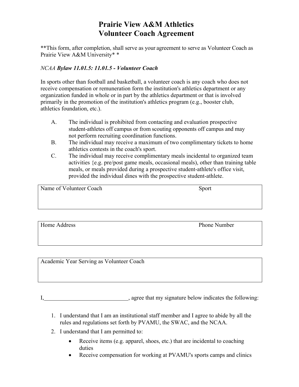## **Prairie View A&M Athletics Volunteer Coach Agreement**

\*\*This form, after completion, shall serve as your agreement to serve as Volunteer Coach as Prairie View A&M University\* \*

#### *NCAA Bylaw 11.01.5: 11.01.5 - Volunteer Coach*

In sports other than football and basketball, a volunteer coach is any coach who does not receive compensation or remuneration form the institution's athletics department or any organization funded in whole or in part by the athletics department or that is involved primarily in the promotion of the institution's athletics program (e.g., booster club, athletics foundation, etc.).

- A. The individual is prohibited from contacting and evaluation prospective student-athletes off campus or from scouting opponents off campus and may not perform recruiting coordination functions.
- B. The individual may receive a maximum of two complimentary tickets to home athletics contests in the coach's sport.
- C. The individual may receive complimentary meals incidental to organized team activities {e.g. pre/post game meals, occasional meals), other than training table meals, or meals provided during a prospective student-athlete's office visit, provided the individual dines with the prospective student-athlete.

| Name of Volunteer Coach | Sport |
|-------------------------|-------|
|                         |       |
|                         |       |
|                         |       |

Home Address Phone Number

Academic Year Serving as Volunteer Coach

I, question of the same state of the state of the state of the state of the following:

- 1. I understand that I am an institutional staff member and I agree to abide by all the rules and regulations set forth by PVAMU, the SWAC, and the NCAA.
- 2. I understand that I am permitted to:
	- Receive items (e.g. apparel, shoes, etc.) that are incidental to coaching duties
	- Receive compensation for working at PVAMU's sports camps and clinics